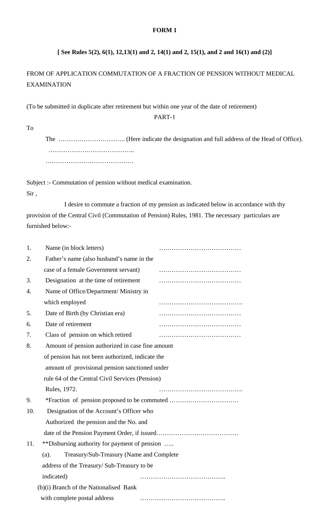#### **FORM 1**

## **[ See Rules 5(2), 6(1), 12,13(1) and 2, 14(1) and 2, 15(1), and 2 and 16(1) and (2)]**

# FROM OF APPLICATION COMMUTATION OF A FRACTION OF PENSION WITHOUT MEDICAL EXAMINATION

(To be submitted in duplicate after retirement but within one year of the date of retirement)

PART-1

To

The ………………………….. (Here indicate the designation and full address of the Head of Office). ……………………………………… ……………………………………

Subject :- Commutation of pension without medical examination.

Sir ,

 I desire to commute a fraction of my pension as indicated below in accordance with thy provision of the Central Civil (Commutation of Pension) Rules, 1981. The necessary particulars are furnished below:-

| 1.  | Name (in block letters)                          |  |
|-----|--------------------------------------------------|--|
| 2.  | Father's name (also husband's name in the        |  |
|     | case of a female Government servant)             |  |
| 3.  | Designation at the time of retirement            |  |
| 4.  | Name of Office/Department/ Ministry in           |  |
|     | which employed                                   |  |
| 5.  | Date of Birth (by Christian era)                 |  |
| 6.  | Date of retirement                               |  |
| 7.  | Class of pension on which retired                |  |
| 8.  | Amount of pension authorized in case fine amount |  |
|     | of pension has not been authorized, indicate the |  |
|     | amount of provisional pension sanctioned under   |  |
|     | rule 64 of the Central Civil Services (Pension)  |  |
|     | Rules, 1972.                                     |  |
| 9.  |                                                  |  |
| 10. | Designation of the Account's Officer who         |  |
|     | Authorized the pension and the No. and           |  |
|     |                                                  |  |
| 11. | **Disbursing authority for payment of pension    |  |
|     | Treasury/Sub-Treasury (Name and Complete<br>(a). |  |
|     | address of the Treasury/Sub-Treasury to be       |  |
|     | indicated)                                       |  |
|     | (b)(i) Branch of the Nationalised Bank           |  |
|     | with complete postal address                     |  |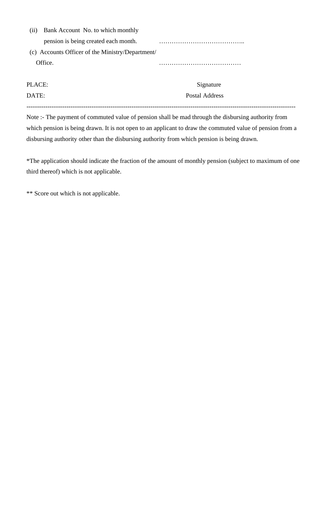| (i)                                              | Bank Account No. to which monthly    |                |  |
|--------------------------------------------------|--------------------------------------|----------------|--|
|                                                  | pension is being created each month. |                |  |
| (c) Accounts Officer of the Ministry/Department/ |                                      |                |  |
|                                                  | Office.                              |                |  |
|                                                  |                                      |                |  |
| PLACE:                                           |                                      | Signature      |  |
| DATE:                                            |                                      | Postal Address |  |

Note :- The payment of commuted value of pension shall be mad through the disbursing authority from which pension is being drawn. It is not open to an applicant to draw the commuted value of pension from a disbursing authority other than the disbursing authority from which pension is being drawn.

--------------------------------------------------------------------------------------------------------------------------------

\*The application should indicate the fraction of the amount of monthly pension (subject to maximum of one third thereof) which is not applicable.

\*\* Score out which is not applicable.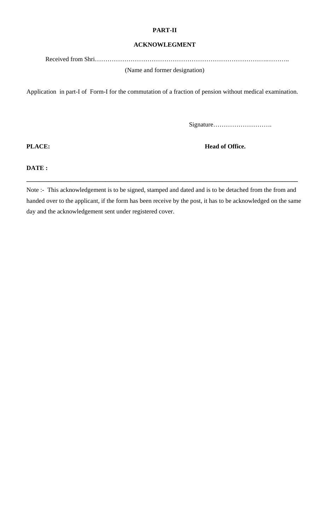#### **PART-II**

#### **ACKNOWLEGMENT**

Received from Shri……………………………………………………………………….………..

(Name and former designation)

Application in part-I of Form-I for the commutation of a fraction of pension without medical examination.

Signature……………………….

**PLACE: Head of Office.** 

**DATE :** 

Note :- This acknowledgement is to be signed, stamped and dated and is to be detached from the from and handed over to the applicant, if the form has been receive by the post, it has to be acknowledged on the same day and the acknowledgement sent under registered cover.

**\_\_\_\_\_\_\_\_\_\_\_\_\_\_\_\_\_\_\_\_\_\_\_\_\_\_\_\_\_\_\_\_\_\_\_\_\_\_\_\_\_\_\_\_\_\_\_\_\_\_\_\_\_\_\_\_\_\_\_\_\_\_\_\_\_\_\_\_\_\_\_\_\_\_\_\_\_\_\_\_\_\_\_\_\_\_**